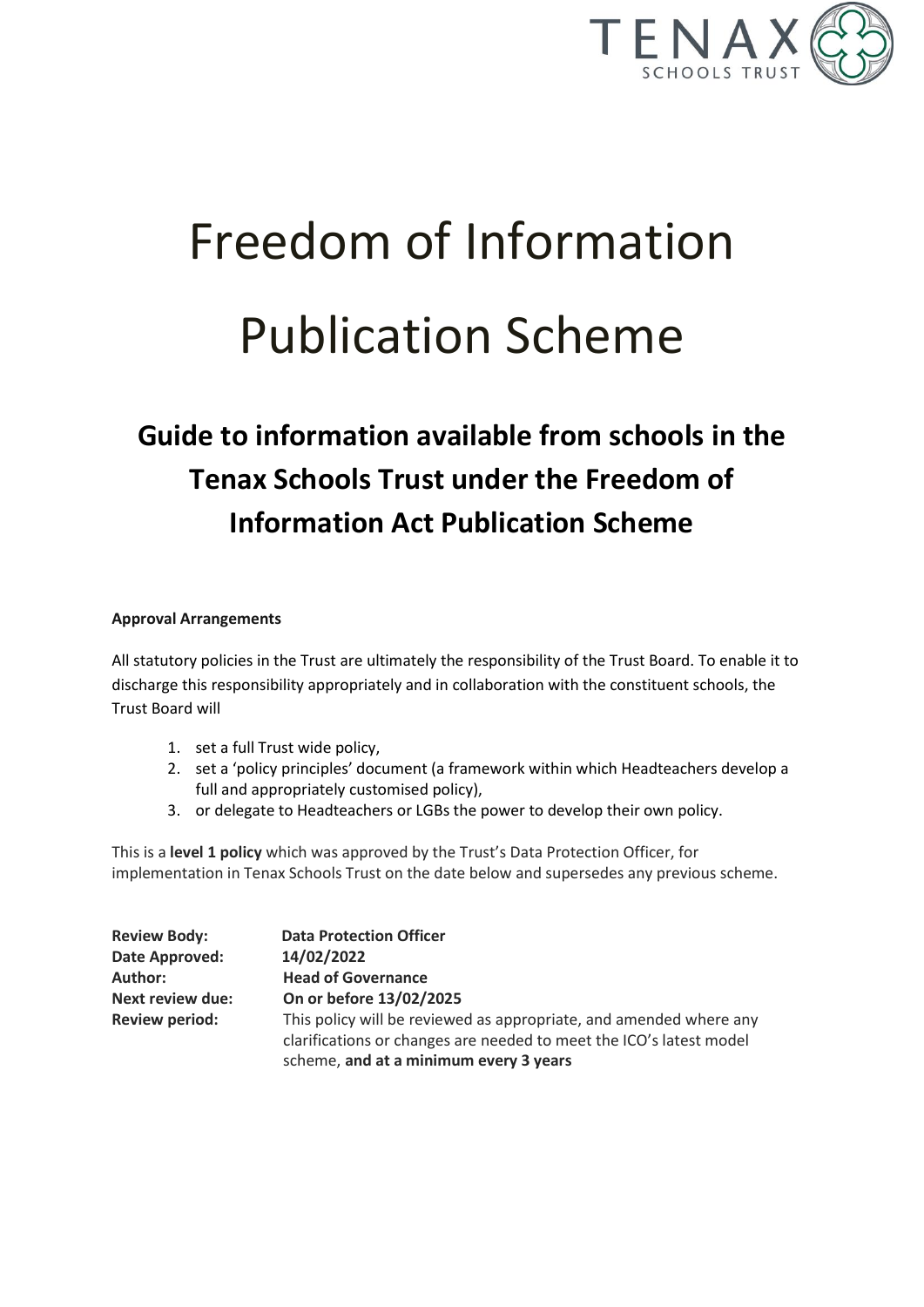

# Freedom of Information Publication Scheme

# **Guide to information available from schools in the Tenax Schools Trust under the Freedom of Information Act Publication Scheme**

#### **Approval Arrangements**

All statutory policies in the Trust are ultimately the responsibility of the Trust Board. To enable it to discharge this responsibility appropriately and in collaboration with the constituent schools, the Trust Board will

- 1. set a full Trust wide policy,
- 2. set a 'policy principles' document (a framework within which Headteachers develop a full and appropriately customised policy),
- 3. or delegate to Headteachers or LGBs the power to develop their own policy.

This is a **level 1 policy** which was approved by the Trust's Data Protection Officer, for implementation in Tenax Schools Trust on the date below and supersedes any previous scheme.

| <b>Review Body:</b>     | <b>Data Protection Officer</b>                                                                                                            |
|-------------------------|-------------------------------------------------------------------------------------------------------------------------------------------|
| Date Approved:          | 14/02/2022                                                                                                                                |
| <b>Author:</b>          | <b>Head of Governance</b>                                                                                                                 |
| <b>Next review due:</b> | On or before 13/02/2025                                                                                                                   |
| <b>Review period:</b>   | This policy will be reviewed as appropriate, and amended where any<br>clarifications or changes are needed to meet the ICO's latest model |
|                         | scheme, and at a minimum every 3 years                                                                                                    |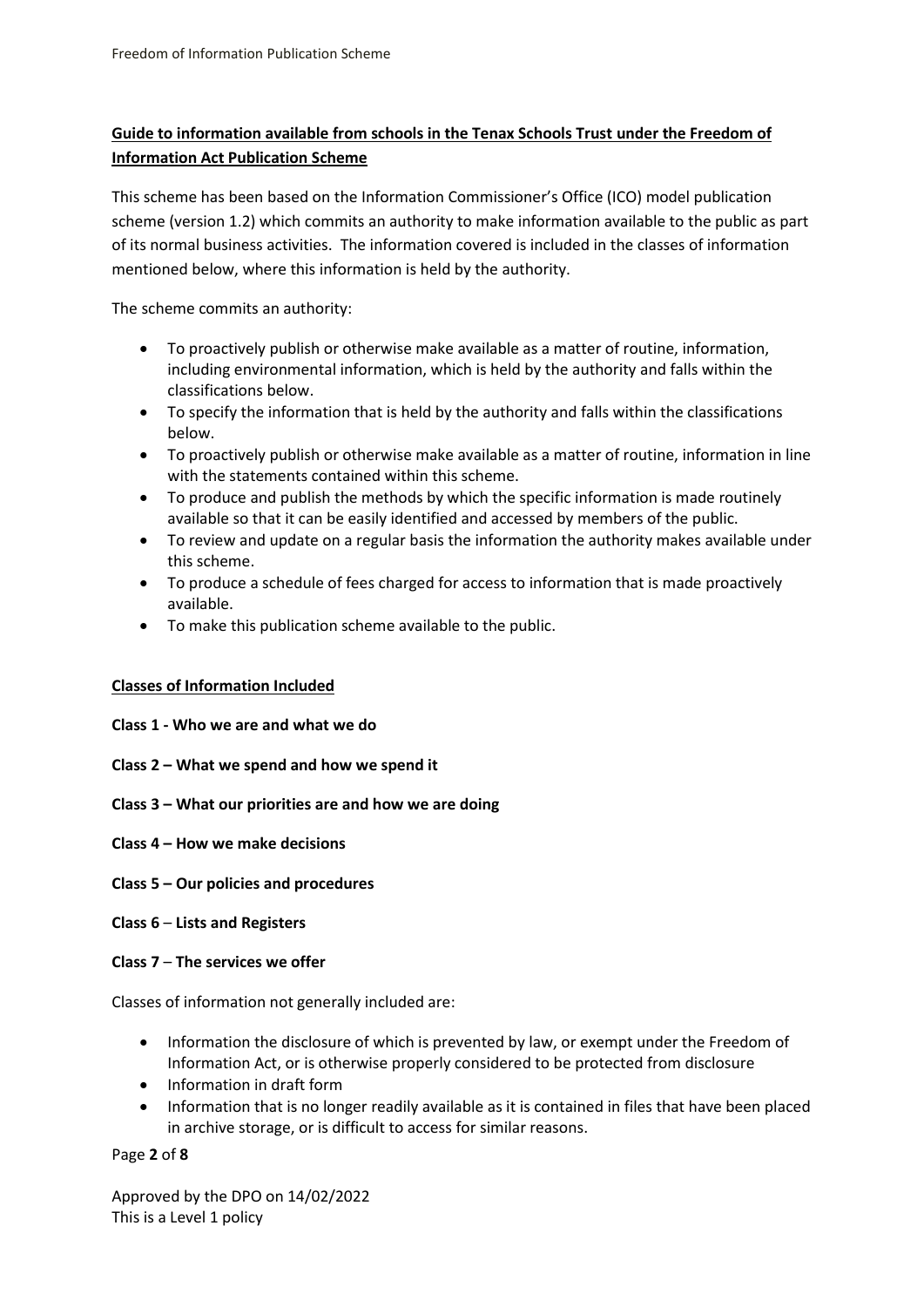# **Guide to information available from schools in the Tenax Schools Trust under the Freedom of Information Act Publication Scheme**

This scheme has been based on the Information Commissioner's Office (ICO) model publication scheme (version 1.2) which commits an authority to make information available to the public as part of its normal business activities. The information covered is included in the classes of information mentioned below, where this information is held by the authority.

The scheme commits an authority:

- To proactively publish or otherwise make available as a matter of routine, information, including environmental information, which is held by the authority and falls within the classifications below.
- To specify the information that is held by the authority and falls within the classifications below.
- To proactively publish or otherwise make available as a matter of routine, information in line with the statements contained within this scheme.
- To produce and publish the methods by which the specific information is made routinely available so that it can be easily identified and accessed by members of the public.
- To review and update on a regular basis the information the authority makes available under this scheme.
- To produce a schedule of fees charged for access to information that is made proactively available.
- To make this publication scheme available to the public.

#### **Classes of Information Included**

- **Class 1 - Who we are and what we do**
- **Class 2 – What we spend and how we spend it**
- **Class 3 – What our priorities are and how we are doing**
- **Class 4 – How we make decisions**
- **Class 5 – Our policies and procedures**
- **Class 6 Lists and Registers**

#### **Class 7** – **The services we offer**

Classes of information not generally included are:

- Information the disclosure of which is prevented by law, or exempt under the Freedom of Information Act, or is otherwise properly considered to be protected from disclosure
- Information in draft form
- Information that is no longer readily available as it is contained in files that have been placed in archive storage, or is difficult to access for similar reasons.

#### Page **2** of **8**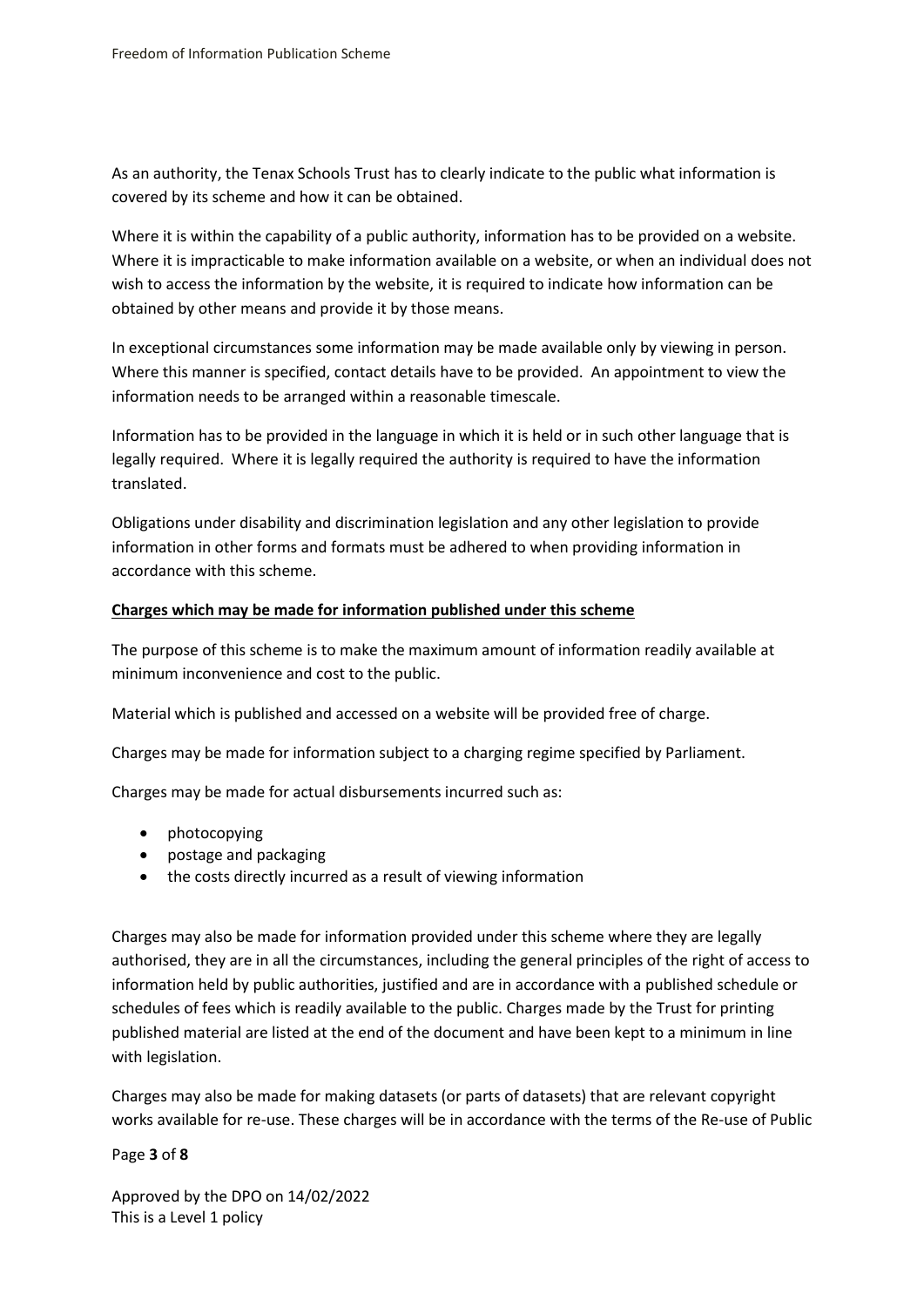As an authority, the Tenax Schools Trust has to clearly indicate to the public what information is covered by its scheme and how it can be obtained.

Where it is within the capability of a public authority, information has to be provided on a website. Where it is impracticable to make information available on a website, or when an individual does not wish to access the information by the website, it is required to indicate how information can be obtained by other means and provide it by those means.

In exceptional circumstances some information may be made available only by viewing in person. Where this manner is specified, contact details have to be provided. An appointment to view the information needs to be arranged within a reasonable timescale.

Information has to be provided in the language in which it is held or in such other language that is legally required. Where it is legally required the authority is required to have the information translated.

Obligations under disability and discrimination legislation and any other legislation to provide information in other forms and formats must be adhered to when providing information in accordance with this scheme.

#### **Charges which may be made for information published under this scheme**

The purpose of this scheme is to make the maximum amount of information readily available at minimum inconvenience and cost to the public.

Material which is published and accessed on a website will be provided free of charge.

Charges may be made for information subject to a charging regime specified by Parliament.

Charges may be made for actual disbursements incurred such as:

- photocopying
- postage and packaging
- the costs directly incurred as a result of viewing information

Charges may also be made for information provided under this scheme where they are legally authorised, they are in all the circumstances, including the general principles of the right of access to information held by public authorities, justified and are in accordance with a published schedule or schedules of fees which is readily available to the public. Charges made by the Trust for printing published material are listed at the end of the document and have been kept to a minimum in line with legislation.

Charges may also be made for making datasets (or parts of datasets) that are relevant copyright works available for re-use. These charges will be in accordance with the terms of the Re-use of Public

#### Page **3** of **8**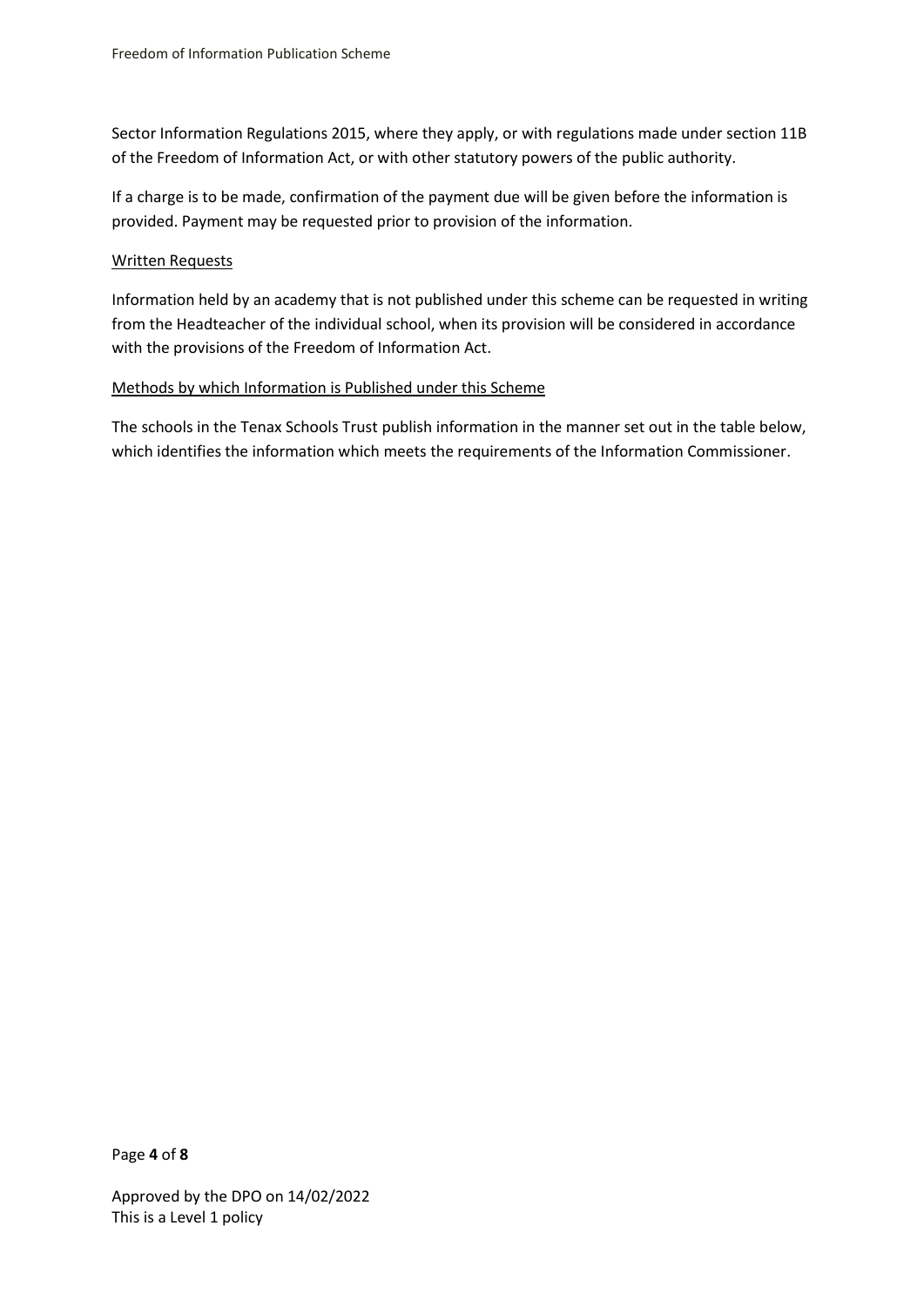Sector Information Regulations 2015, where they apply, or with regulations made under section 11B of the Freedom of Information Act, or with other statutory powers of the public authority.

If a charge is to be made, confirmation of the payment due will be given before the information is provided. Payment may be requested prior to provision of the information.

#### Written Requests

Information held by an academy that is not published under this scheme can be requested in writing from the Headteacher of the individual school, when its provision will be considered in accordance with the provisions of the Freedom of Information Act.

#### Methods by which Information is Published under this Scheme

The schools in the Tenax Schools Trust publish information in the manner set out in the table below, which identifies the information which meets the requirements of the Information Commissioner.

Page **4** of **8**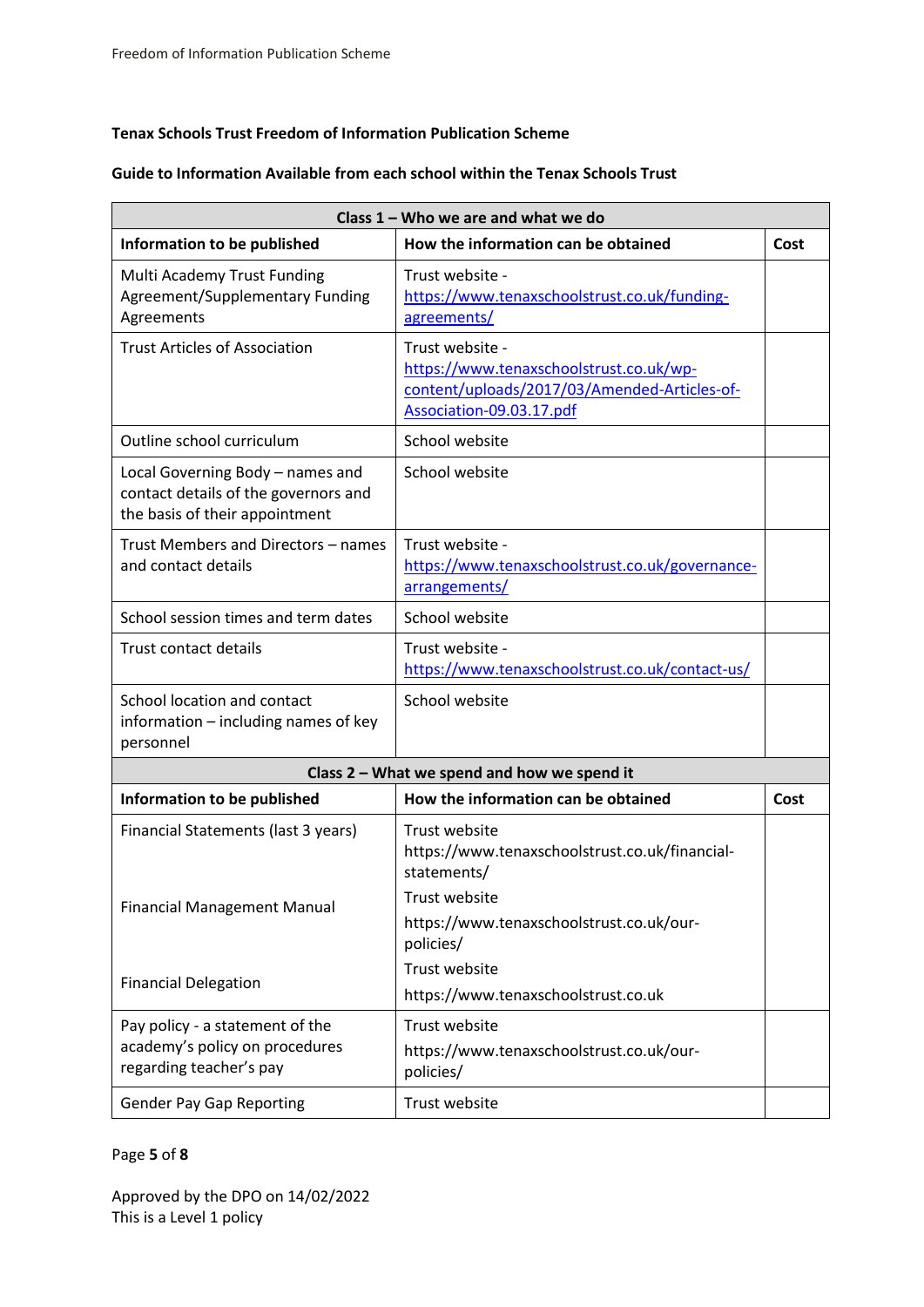#### **Tenax Schools Trust Freedom of Information Publication Scheme**

#### **Guide to Information Available from each school within the Tenax Schools Trust**

| Class 1 - Who we are and what we do                                                                        |                                                                                                                                        |      |  |
|------------------------------------------------------------------------------------------------------------|----------------------------------------------------------------------------------------------------------------------------------------|------|--|
| Information to be published                                                                                | How the information can be obtained                                                                                                    | Cost |  |
| Multi Academy Trust Funding<br>Agreement/Supplementary Funding<br>Agreements                               | Trust website -<br>https://www.tenaxschoolstrust.co.uk/funding-<br>agreements/                                                         |      |  |
| <b>Trust Articles of Association</b>                                                                       | Trust website -<br>https://www.tenaxschoolstrust.co.uk/wp-<br>content/uploads/2017/03/Amended-Articles-of-<br>Association-09.03.17.pdf |      |  |
| Outline school curriculum                                                                                  | School website                                                                                                                         |      |  |
| Local Governing Body - names and<br>contact details of the governors and<br>the basis of their appointment | School website                                                                                                                         |      |  |
| Trust Members and Directors - names<br>and contact details                                                 | Trust website -<br>https://www.tenaxschoolstrust.co.uk/governance-<br>arrangements/                                                    |      |  |
| School session times and term dates                                                                        | School website                                                                                                                         |      |  |
| <b>Trust contact details</b>                                                                               | Trust website -<br>https://www.tenaxschoolstrust.co.uk/contact-us/                                                                     |      |  |
| School location and contact<br>information – including names of key<br>personnel                           | School website                                                                                                                         |      |  |
| Class 2 - What we spend and how we spend it                                                                |                                                                                                                                        |      |  |
| Information to be published                                                                                | How the information can be obtained                                                                                                    | Cost |  |
| Financial Statements (last 3 years)                                                                        | Trust website<br>https://www.tenaxschoolstrust.co.uk/financial-<br>statements/                                                         |      |  |
| <b>Financial Management Manual</b>                                                                         | Trust website<br>https://www.tenaxschoolstrust.co.uk/our-<br>policies/                                                                 |      |  |
| <b>Financial Delegation</b>                                                                                | Trust website<br>https://www.tenaxschoolstrust.co.uk                                                                                   |      |  |
| Pay policy - a statement of the<br>academy's policy on procedures<br>regarding teacher's pay               | Trust website<br>https://www.tenaxschoolstrust.co.uk/our-<br>policies/                                                                 |      |  |
| <b>Gender Pay Gap Reporting</b>                                                                            | Trust website                                                                                                                          |      |  |

## Page **5** of **8**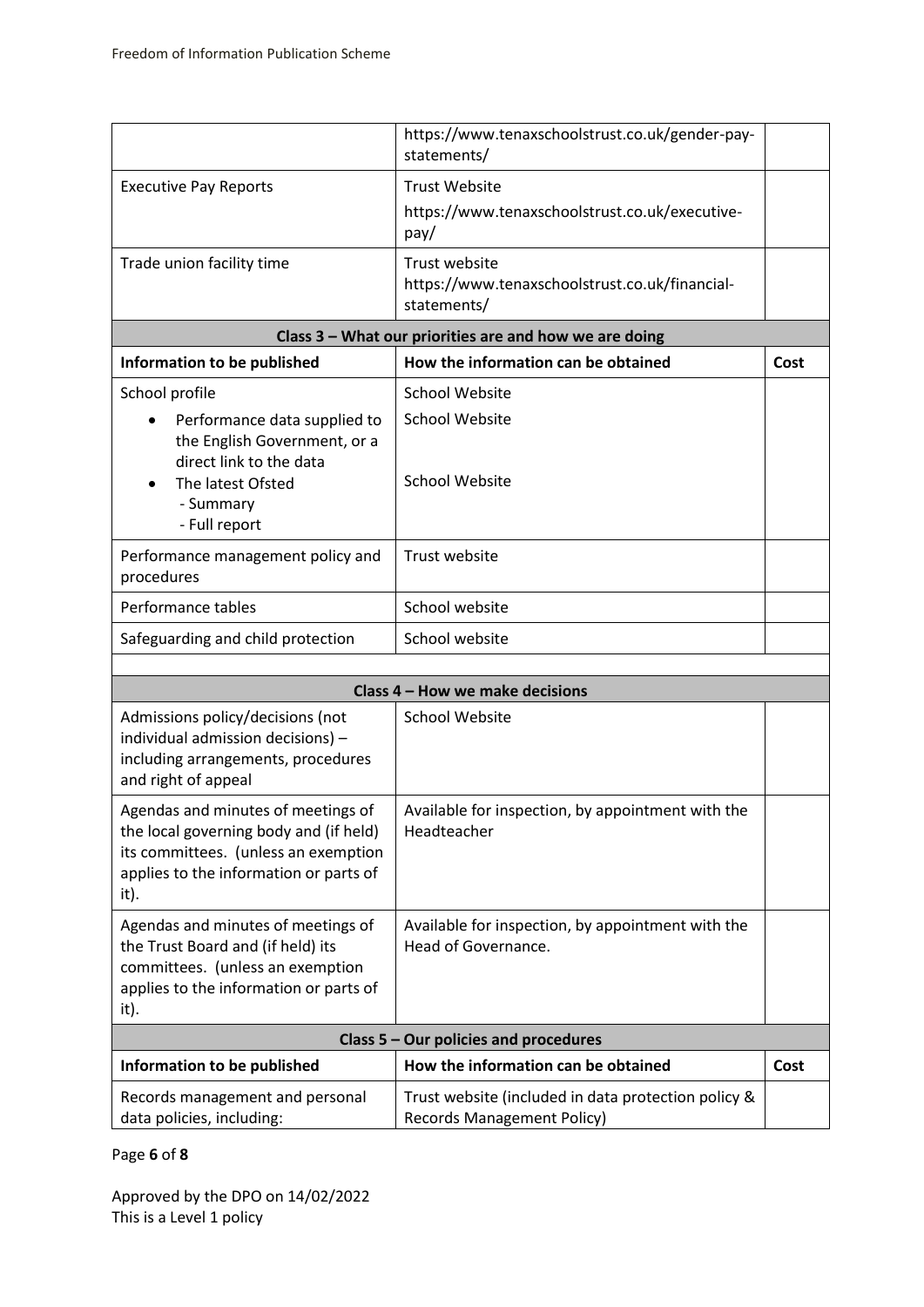|                                                                                                                                                                        | https://www.tenaxschoolstrust.co.uk/gender-pay-<br>statements/           |      |  |
|------------------------------------------------------------------------------------------------------------------------------------------------------------------------|--------------------------------------------------------------------------|------|--|
| <b>Executive Pay Reports</b>                                                                                                                                           | <b>Trust Website</b>                                                     |      |  |
|                                                                                                                                                                        | https://www.tenaxschoolstrust.co.uk/executive-<br>pay/                   |      |  |
| Trade union facility time                                                                                                                                              | Trust website                                                            |      |  |
|                                                                                                                                                                        | https://www.tenaxschoolstrust.co.uk/financial-<br>statements/            |      |  |
|                                                                                                                                                                        | Class 3 - What our priorities are and how we are doing                   |      |  |
| Information to be published                                                                                                                                            | How the information can be obtained                                      | Cost |  |
| School profile                                                                                                                                                         | <b>School Website</b>                                                    |      |  |
| Performance data supplied to<br>the English Government, or a                                                                                                           | <b>School Website</b>                                                    |      |  |
| direct link to the data<br>The latest Ofsted                                                                                                                           | <b>School Website</b>                                                    |      |  |
| - Summary                                                                                                                                                              |                                                                          |      |  |
| - Full report                                                                                                                                                          |                                                                          |      |  |
| Performance management policy and<br>procedures                                                                                                                        | Trust website                                                            |      |  |
| Performance tables                                                                                                                                                     | School website                                                           |      |  |
| Safeguarding and child protection                                                                                                                                      | School website                                                           |      |  |
|                                                                                                                                                                        |                                                                          |      |  |
|                                                                                                                                                                        | Class 4 - How we make decisions                                          |      |  |
| Admissions policy/decisions (not<br>individual admission decisions) -<br>including arrangements, procedures<br>and right of appeal                                     | <b>School Website</b>                                                    |      |  |
| Agendas and minutes of meetings of<br>the local governing body and (if held)<br>its committees. (unless an exemption<br>applies to the information or parts of<br>it). | Available for inspection, by appointment with the<br>Headteacher         |      |  |
| Agendas and minutes of meetings of<br>the Trust Board and (if held) its<br>committees. (unless an exemption<br>applies to the information or parts of<br>it).          | Available for inspection, by appointment with the<br>Head of Governance. |      |  |
| Class 5 - Our policies and procedures                                                                                                                                  |                                                                          |      |  |
| Information to be published                                                                                                                                            | How the information can be obtained                                      | Cost |  |
| Records management and personal                                                                                                                                        | Trust website (included in data protection policy &                      |      |  |

Records Management Policy)

# Page **6** of **8**

data policies, including: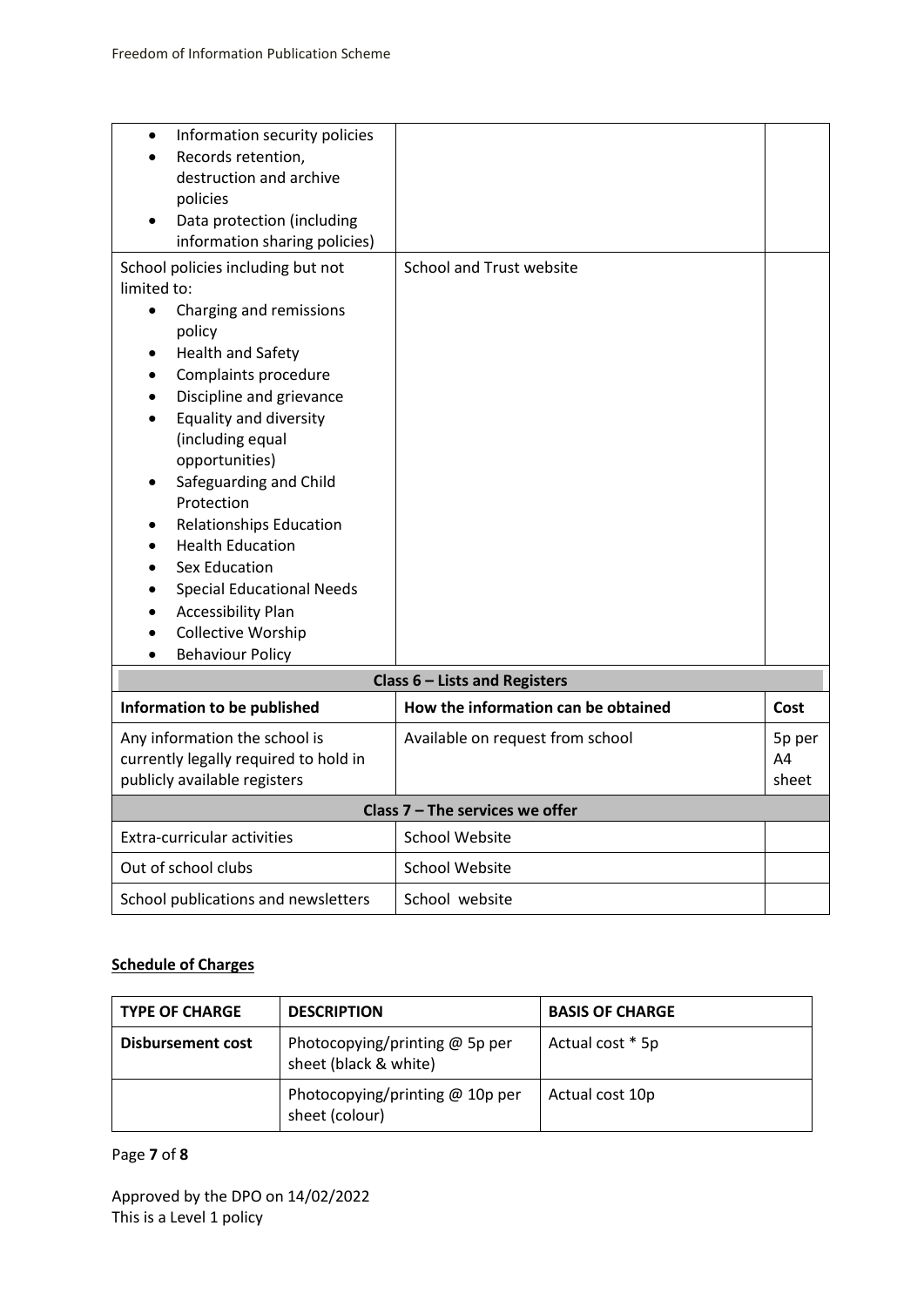| Information security policies<br>$\bullet$<br>Records retention, |                                     |        |
|------------------------------------------------------------------|-------------------------------------|--------|
| destruction and archive                                          |                                     |        |
| policies                                                         |                                     |        |
| Data protection (including                                       |                                     |        |
| information sharing policies)                                    |                                     |        |
| School policies including but not                                | <b>School and Trust website</b>     |        |
| limited to:                                                      |                                     |        |
| Charging and remissions<br>$\bullet$                             |                                     |        |
| policy                                                           |                                     |        |
| <b>Health and Safety</b><br>٠                                    |                                     |        |
| Complaints procedure<br>$\bullet$                                |                                     |        |
| Discipline and grievance<br><b>Equality and diversity</b>        |                                     |        |
| (including equal                                                 |                                     |        |
| opportunities)                                                   |                                     |        |
| Safeguarding and Child                                           |                                     |        |
| Protection                                                       |                                     |        |
| <b>Relationships Education</b><br>٠                              |                                     |        |
| <b>Health Education</b>                                          |                                     |        |
| <b>Sex Education</b>                                             |                                     |        |
| <b>Special Educational Needs</b>                                 |                                     |        |
| <b>Accessibility Plan</b>                                        |                                     |        |
| Collective Worship                                               |                                     |        |
| <b>Behaviour Policy</b>                                          |                                     |        |
|                                                                  | Class 6 - Lists and Registers       |        |
| Information to be published                                      | How the information can be obtained | Cost   |
| Any information the school is                                    | Available on request from school    | 5p per |
| currently legally required to hold in                            |                                     | A4     |
| publicly available registers                                     |                                     | sheet  |
|                                                                  | Class $7$ – The services we offer   |        |
| Extra-curricular activities                                      | <b>School Website</b>               |        |
| Out of school clubs                                              | <b>School Website</b>               |        |
| School publications and newsletters                              | School website                      |        |

## **Schedule of Charges**

| <b>TYPE OF CHARGE</b>    | <b>DESCRIPTION</b>                                        | <b>BASIS OF CHARGE</b> |
|--------------------------|-----------------------------------------------------------|------------------------|
| <b>Disbursement cost</b> | Photocopying/printing $@$ 5p per<br>sheet (black & white) | Actual cost * 5p       |
|                          | Photocopying/printing $@$ 10p per<br>sheet (colour)       | Actual cost 10p        |

# Page **7** of **8**